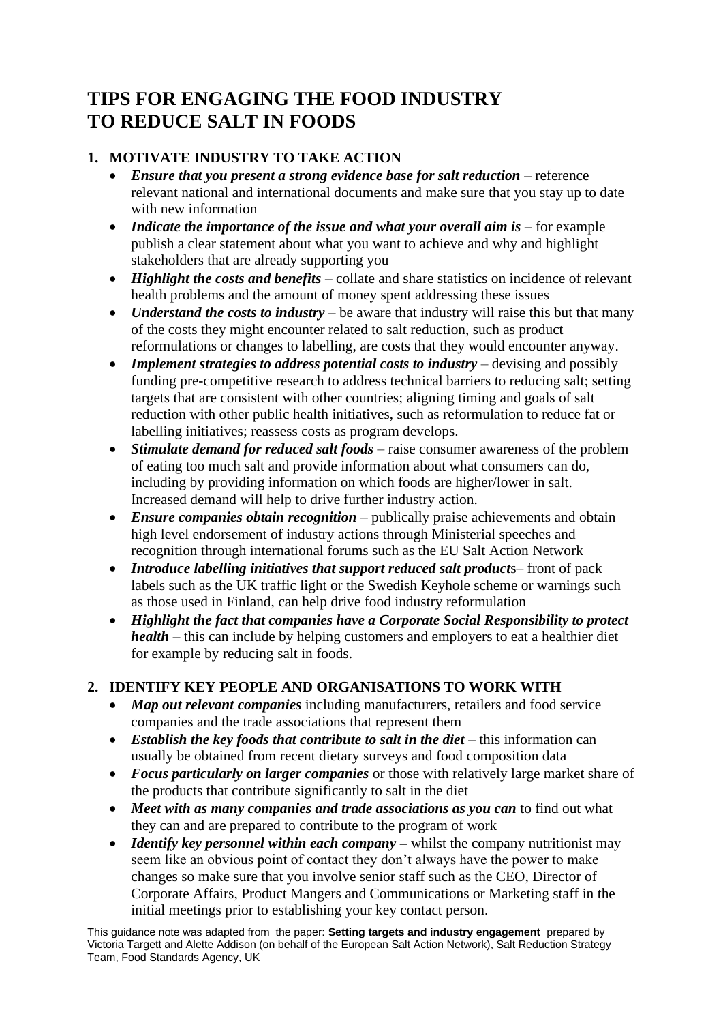# **TIPS FOR ENGAGING THE FOOD INDUSTRY TO REDUCE SALT IN FOODS**

## **1. MOTIVATE INDUSTRY TO TAKE ACTION**

- *Ensure that you present a strong evidence base for salt reduction* reference relevant national and international documents and make sure that you stay up to date with new information
- *Indicate the importance of the issue and what your overall aim is* for example publish a clear statement about what you want to achieve and why and highlight stakeholders that are already supporting you
- *Highlight the costs and benefits* collate and share statistics on incidence of relevant health problems and the amount of money spent addressing these issues
- *Understand the costs to industry* be aware that industry will raise this but that many of the costs they might encounter related to salt reduction, such as product reformulations or changes to labelling, are costs that they would encounter anyway.
- *Implement strategies to address potential costs to industry* devising and possibly funding pre-competitive research to address technical barriers to reducing salt; setting targets that are consistent with other countries; aligning timing and goals of salt reduction with other public health initiatives, such as reformulation to reduce fat or labelling initiatives; reassess costs as program develops.
- *Stimulate demand for reduced salt foods* raise consumer awareness of the problem of eating too much salt and provide information about what consumers can do, including by providing information on which foods are higher/lower in salt. Increased demand will help to drive further industry action.
- *Ensure companies obtain recognition* publically praise achievements and obtain high level endorsement of industry actions through Ministerial speeches and recognition through international forums such as the EU Salt Action Network
- *Introduce labelling initiatives that support reduced salt products–front of pack* labels such as the UK traffic light or the Swedish Keyhole scheme or warnings such as those used in Finland, can help drive food industry reformulation
- *Highlight the fact that companies have a Corporate Social Responsibility to protect health* – this can include by helping customers and employers to eat a healthier diet for example by reducing salt in foods.

### **2. IDENTIFY KEY PEOPLE AND ORGANISATIONS TO WORK WITH**

- *Map out relevant companies* including manufacturers, retailers and food service companies and the trade associations that represent them
- *Establish the key foods that contribute to salt in the diet* this information can usually be obtained from recent dietary surveys and food composition data
- *Focus particularly on larger companies* or those with relatively large market share of the products that contribute significantly to salt in the diet
- *Meet with as many companies and trade associations as you can* to find out what they can and are prepared to contribute to the program of work
- *Identify key personnel within each company* whilst the company nutritionist may seem like an obvious point of contact they don't always have the power to make changes so make sure that you involve senior staff such as the CEO, Director of Corporate Affairs, Product Mangers and Communications or Marketing staff in the initial meetings prior to establishing your key contact person.

This guidance note was adapted from the paper: **Setting targets and industry engagement** prepared by Victoria Targett and Alette Addison (on behalf of the European Salt Action Network), Salt Reduction Strategy Team, Food Standards Agency, UK